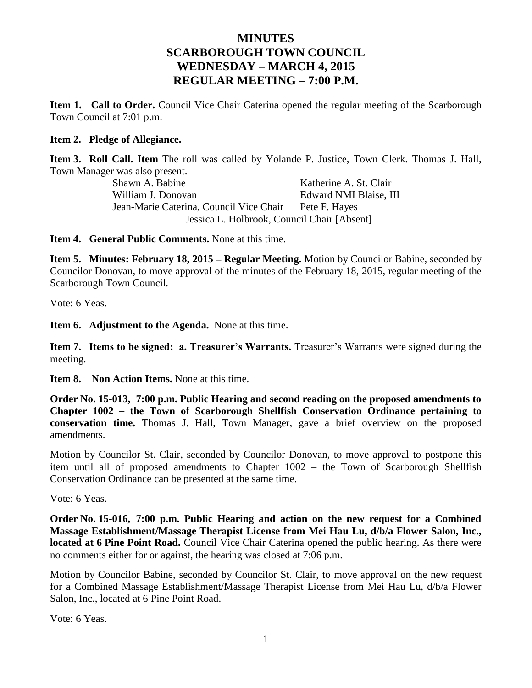## **MINUTES SCARBOROUGH TOWN COUNCIL WEDNESDAY – MARCH 4, 2015 REGULAR MEETING – 7:00 P.M.**

**Item 1. Call to Order.** Council Vice Chair Caterina opened the regular meeting of the Scarborough Town Council at 7:01 p.m.

### **Item 2. Pledge of Allegiance.**

**Item 3. Roll Call. Item** The roll was called by Yolande P. Justice, Town Clerk. Thomas J. Hall, Town Manager was also present.

> Shawn A. Babine Katherine A. St. Clair William J. Donovan Edward NMI Blaise, III Jean-Marie Caterina, Council Vice Chair Pete F. Hayes Jessica L. Holbrook, Council Chair [Absent]

**Item 4. General Public Comments.** None at this time.

**Item 5. Minutes: February 18, 2015 – Regular Meeting.** Motion by Councilor Babine, seconded by Councilor Donovan, to move approval of the minutes of the February 18, 2015, regular meeting of the Scarborough Town Council.

Vote: 6 Yeas.

**Item 6. Adjustment to the Agenda.** None at this time.

**Item 7. Items to be signed: a. Treasurer's Warrants.** Treasurer's Warrants were signed during the meeting.

**Item 8. Non Action Items.** None at this time.

**Order No. 15-013, 7:00 p.m. Public Hearing and second reading on the proposed amendments to Chapter 1002 – the Town of Scarborough Shellfish Conservation Ordinance pertaining to conservation time.** Thomas J. Hall, Town Manager, gave a brief overview on the proposed amendments.

Motion by Councilor St. Clair, seconded by Councilor Donovan, to move approval to postpone this item until all of proposed amendments to Chapter 1002 – the Town of Scarborough Shellfish Conservation Ordinance can be presented at the same time.

Vote: 6 Yeas.

**Order No. 15-016, 7:00 p.m. Public Hearing and action on the new request for a Combined Massage Establishment/Massage Therapist License from Mei Hau Lu, d/b/a Flower Salon, Inc., located at 6 Pine Point Road.** Council Vice Chair Caterina opened the public hearing. As there were no comments either for or against, the hearing was closed at 7:06 p.m.

Motion by Councilor Babine, seconded by Councilor St. Clair, to move approval on the new request for a Combined Massage Establishment/Massage Therapist License from Mei Hau Lu, d/b/a Flower Salon, Inc., located at 6 Pine Point Road.

Vote: 6 Yeas.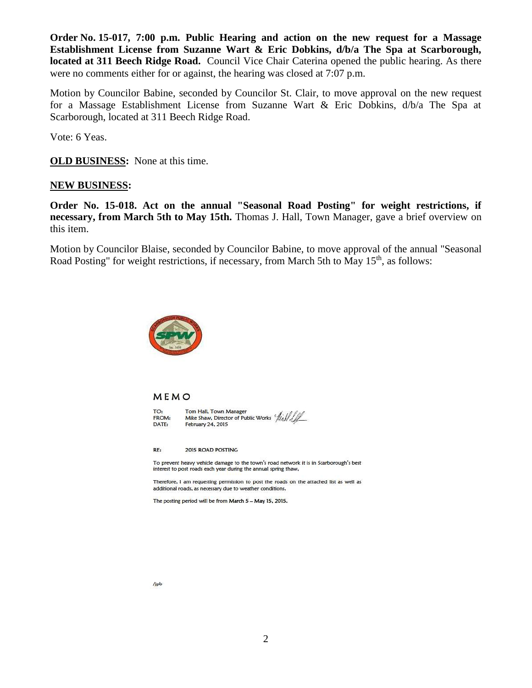**Order No. 15-017, 7:00 p.m. Public Hearing and action on the new request for a Massage Establishment License from Suzanne Wart & Eric Dobkins, d/b/a The Spa at Scarborough, located at 311 Beech Ridge Road.** Council Vice Chair Caterina opened the public hearing. As there were no comments either for or against, the hearing was closed at 7:07 p.m.

Motion by Councilor Babine, seconded by Councilor St. Clair, to move approval on the new request for a Massage Establishment License from Suzanne Wart & Eric Dobkins, d/b/a The Spa at Scarborough, located at 311 Beech Ridge Road.

Vote: 6 Yeas.

**OLD BUSINESS:** None at this time.

### **NEW BUSINESS:**

**Order No. 15-018. Act on the annual "Seasonal Road Posting" for weight restrictions, if necessary, from March 5th to May 15th.** Thomas J. Hall, Town Manager, gave a brief overview on this item.

Motion by Councilor Blaise, seconded by Councilor Babine, to move approval of the annual "Seasonal Road Posting" for weight restrictions, if necessary, from March 5th to May 15<sup>th</sup>, as follows:



#### MEMO

TO: FROM: DATE:

Tom Hall, Town Manager Mike Shaw, Director of Public Works Aisle February 24, 2015

2015 ROAD POSTING RE:

To prevent heavy vehicle damage to the town's road network it is in Scarborough's best interest to post roads each year during the annual spring thaw,

Therefore, I am requesting permission to post the roads on the attached list as well as additional roads, as necessary due to weather conditions.

The posting period will be from March 5 - May 15, 2015.

/jpb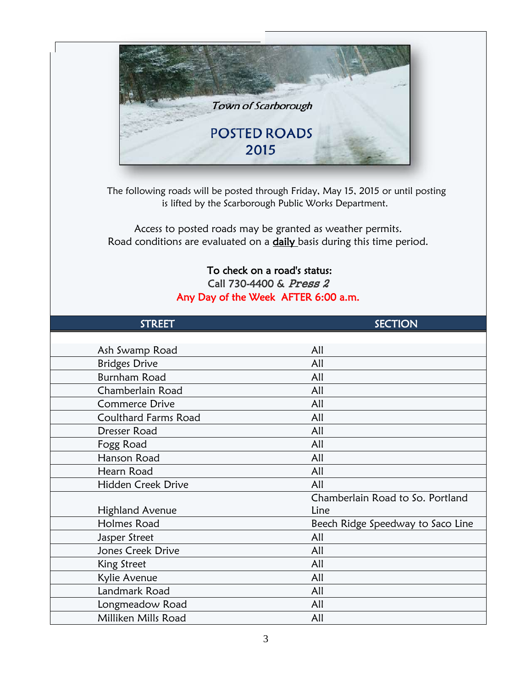

 The following roads will be posted through Friday, May 15, 2015 or until posting is lifted by the Scarborough Public Works Department.

Access to posted roads may be granted as weather permits. Road conditions are evaluated on a **daily** basis during this time period.

# To check on a road's status: Call 730-4400 & Press 2 Any Day of the Week AFTER 6:00 a.m.

| <b>STREET</b>               | <b>SECTION</b>                    |
|-----------------------------|-----------------------------------|
|                             |                                   |
| Ash Swamp Road              | All                               |
| <b>Bridges Drive</b>        | All                               |
| <b>Burnham Road</b>         | All                               |
| Chamberlain Road            | All                               |
| <b>Commerce Drive</b>       | All                               |
| <b>Coulthard Farms Road</b> | All                               |
| Dresser Road                | All                               |
| Fogg Road                   | All                               |
| Hanson Road                 | All                               |
| Hearn Road                  | All                               |
| Hidden Creek Drive          | All                               |
|                             | Chamberlain Road to So. Portland  |
| <b>Highland Avenue</b>      | Line                              |
| Holmes Road                 | Beech Ridge Speedway to Saco Line |
| Jasper Street               | All                               |
| Jones Creek Drive           | All                               |
| King Street                 | All                               |
| Kylie Avenue                | All                               |
| Landmark Road               | All                               |
| Longmeadow Road             | All                               |
| Milliken Mills Road         | All                               |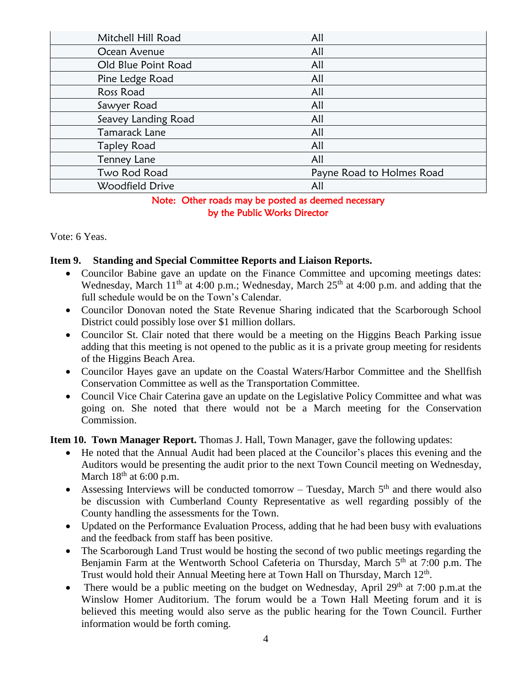| Mitchell Hill Road  | All                       |
|---------------------|---------------------------|
| Ocean Avenue        | All                       |
| Old Blue Point Road | All                       |
| Pine Ledge Road     | All                       |
| Ross Road           | All                       |
| Sawyer Road         | All                       |
| Seavey Landing Road | All                       |
| Tamarack Lane       | All                       |
| <b>Tapley Road</b>  | All                       |
| Tenney Lane         | All                       |
| Two Rod Road        | Payne Road to Holmes Road |
| Woodfield Drive     | All                       |

### Note: Other roads may be posted as deemed necessary by the Public Works Director

Vote: 6 Yeas.

### **Item 9. Standing and Special Committee Reports and Liaison Reports.**

- Councilor Babine gave an update on the Finance Committee and upcoming meetings dates: Wednesday, March  $11<sup>th</sup>$  at 4:00 p.m.; Wednesday, March  $25<sup>th</sup>$  at 4:00 p.m. and adding that the full schedule would be on the Town's Calendar.
- Councilor Donovan noted the State Revenue Sharing indicated that the Scarborough School District could possibly lose over \$1 million dollars.
- Councilor St. Clair noted that there would be a meeting on the Higgins Beach Parking issue adding that this meeting is not opened to the public as it is a private group meeting for residents of the Higgins Beach Area.
- Councilor Hayes gave an update on the Coastal Waters/Harbor Committee and the Shellfish Conservation Committee as well as the Transportation Committee.
- Council Vice Chair Caterina gave an update on the Legislative Policy Committee and what was going on. She noted that there would not be a March meeting for the Conservation Commission.

### **Item 10. Town Manager Report.** Thomas J. Hall, Town Manager, gave the following updates:

- He noted that the Annual Audit had been placed at the Councilor's places this evening and the Auditors would be presenting the audit prior to the next Town Council meeting on Wednesday, March  $18<sup>th</sup>$  at 6:00 p.m.
- Assessing Interviews will be conducted tomorrow Tuesday, March  $5<sup>th</sup>$  and there would also be discussion with Cumberland County Representative as well regarding possibly of the County handling the assessments for the Town.
- Updated on the Performance Evaluation Process, adding that he had been busy with evaluations and the feedback from staff has been positive.
- The Scarborough Land Trust would be hosting the second of two public meetings regarding the Benjamin Farm at the Wentworth School Cafeteria on Thursday, March 5<sup>th</sup> at 7:00 p.m. The Trust would hold their Annual Meeting here at Town Hall on Thursday, March 12<sup>th</sup>.
- There would be a public meeting on the budget on Wednesday, April  $29<sup>th</sup>$  at 7:00 p.m.at the Winslow Homer Auditorium. The forum would be a Town Hall Meeting forum and it is believed this meeting would also serve as the public hearing for the Town Council. Further information would be forth coming.